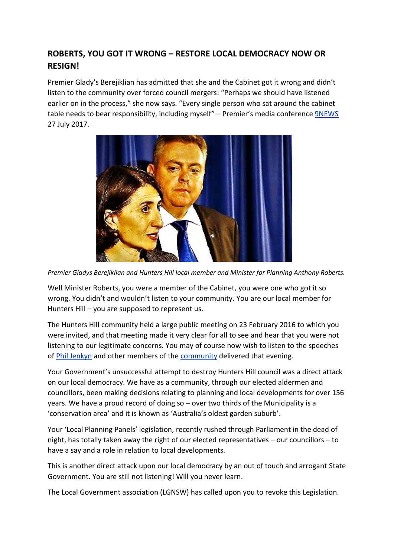## **ROBERTS, YOU GOT IT WRONG – RESTORE LOCAL DEMOCRACY NOW OR RESIGN!**

Premier Glady's Berejiklian has admitted that she and the Cabinet got it wrong and didn't listen to the community over forced council mergers: "Perhaps we should have listened earlier on in the process," she now says. "Every single person who sat around the cabinet table needs to bear responsibility, including myself" – Premier's media conferenc[e 9NEWS](https://www.9news.com.au/national/2017/07/27/20/15/chris-o-keefe-premier-had-no-choice-but-to-abandon-council-amalgamations) 27 July 2017.



*Premier Gladys Berejiklian and Hunters Hill local member and Minister for Planning Anthony Roberts.*

Well Minister Roberts, you were a member of the Cabinet, you were one who got it so wrong. You didn't and wouldn't listen to your community. You are our local member for Hunters Hill – you are supposed to represent us.

The Hunters Hill community held a large public meeting on 23 February 2016 to which you were invited, and that meeting made it very clear for all to see and hear that you were not listening to our legitimate concerns. You may of course now wish to listen to the speeches of [Phil Jenkyn](https://www.youtube.com/watch?v=PR1zL6C5L04) and other members of the [community](https://www.youtube.com/watch?v=Lp54UK0RAvs) delivered that evening.

Your Government's unsuccessful attempt to destroy Hunters Hill council was a direct attack on our local democracy. We have as a community, through our elected aldermen and councillors, been making decisions relating to planning and local developments for over 156 years. We have a proud record of doing so – over two thirds of the Municipality is a 'conservation area' and it is known as 'Australia's oldest garden suburb'.

Your 'Local Planning Panels' legislation, recently rushed through Parliament in the dead of night, has totally taken away the right of our elected representatives – our councillors – to have a say and a role in relation to local developments.

This is another direct attack upon our local democracy by an out of touch and arrogant State Government. You are still not listening! Will you never learn.

The Local Government association (LGNSW) has called upon you to revoke this Legislation.